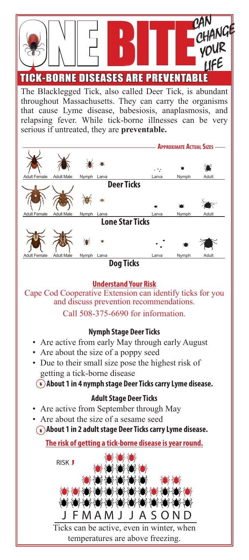

The Blacklegged Tick, also called Deer Tick, is abundant throughout Massachusetts. They can carry the organisms that cause Lyme disease, babesiosis, anaplasmosis, and relapsing fever. While tick-borne illnesses can be very serious if untreated, they are **preventable.**



**Dog Ticks**

#### **Understand Your Risk**

Cape Cod Cooperative Extension can identify ticks for you and discuss prevention recommendations. Call 508-375-6690 for information.

#### **Nymph Stage Deer Ticks**

- Are active from early May through early August
- Are about the size of a poppy seed
- Due to their small size pose the highest risk of getting a tick-borne disease

**About 1 in 4 nymph stage Deer Ticks carry Lyme disease.**

### **Adult Stage Deer Ticks**

- Are active from September through May
- Are about the size of a sesame seed  **About 1 in 2 adult stage Deer Ticks carry Lyme disease.**

**The risk of getting a tick-borne disease is year round.**



Ticks can be active, even in winter, when temperatures are above freezing.